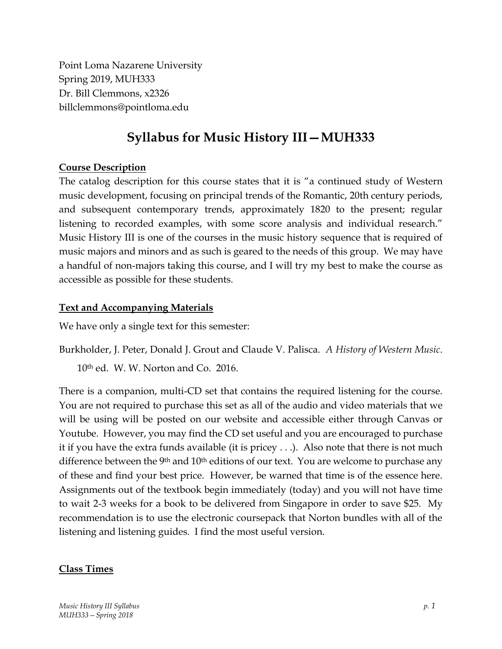Point Loma Nazarene University Spring 2019, MUH333 Dr. Bill Clemmons, x2326 billclemmons@pointloma.edu

# **Syllabus for Music History III—MUH333**

## **Course Description**

The catalog description for this course states that it is "a continued study of Western music development, focusing on principal trends of the Romantic, 20th century periods, and subsequent contemporary trends, approximately 1820 to the present; regular listening to recorded examples, with some score analysis and individual research." Music History III is one of the courses in the music history sequence that is required of music majors and minors and as such is geared to the needs of this group. We may have a handful of non-majors taking this course, and I will try my best to make the course as accessible as possible for these students.

## **Text and Accompanying Materials**

We have only a single text for this semester:

Burkholder, J. Peter, Donald J. Grout and Claude V. Palisca. *A History of Western Music*. 10th ed. W. W. Norton and Co. 2016.

There is a companion, multi-CD set that contains the required listening for the course. You are not required to purchase this set as all of the audio and video materials that we will be using will be posted on our website and accessible either through Canvas or Youtube. However, you may find the CD set useful and you are encouraged to purchase it if you have the extra funds available (it is pricey . . .). Also note that there is not much difference between the 9<sup>th</sup> and 10<sup>th</sup> editions of our text. You are welcome to purchase any of these and find your best price. However, be warned that time is of the essence here. Assignments out of the textbook begin immediately (today) and you will not have time to wait 2-3 weeks for a book to be delivered from Singapore in order to save \$25. My recommendation is to use the electronic coursepack that Norton bundles with all of the listening and listening guides. I find the most useful version.

#### **Class Times**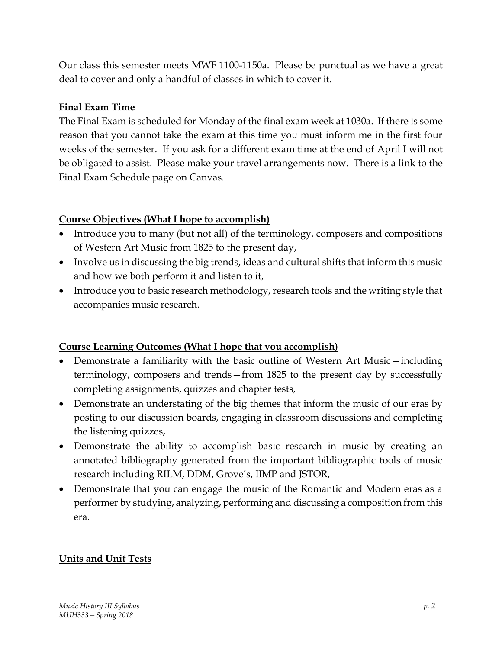Our class this semester meets MWF 1100-1150a. Please be punctual as we have a great deal to cover and only a handful of classes in which to cover it.

## **Final Exam Time**

The Final Exam is scheduled for Monday of the final exam week at 1030a. If there is some reason that you cannot take the exam at this time you must inform me in the first four weeks of the semester. If you ask for a different exam time at the end of April I will not be obligated to assist. Please make your travel arrangements now. There is a link to the Final Exam Schedule page on Canvas.

# **Course Objectives (What I hope to accomplish)**

- Introduce you to many (but not all) of the terminology, composers and compositions of Western Art Music from 1825 to the present day,
- Involve us in discussing the big trends, ideas and cultural shifts that inform this music and how we both perform it and listen to it,
- Introduce you to basic research methodology, research tools and the writing style that accompanies music research.

# **Course Learning Outcomes (What I hope that you accomplish)**

- Demonstrate a familiarity with the basic outline of Western Art Music—including terminology, composers and trends—from 1825 to the present day by successfully completing assignments, quizzes and chapter tests,
- Demonstrate an understating of the big themes that inform the music of our eras by posting to our discussion boards, engaging in classroom discussions and completing the listening quizzes,
- Demonstrate the ability to accomplish basic research in music by creating an annotated bibliography generated from the important bibliographic tools of music research including RILM, DDM, Grove's, IIMP and JSTOR,
- Demonstrate that you can engage the music of the Romantic and Modern eras as a performer by studying, analyzing, performing and discussing a composition from this era.

# **Units and Unit Tests**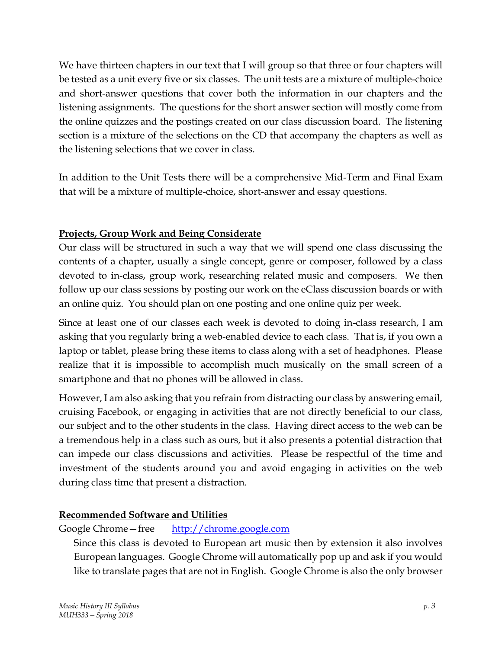We have thirteen chapters in our text that I will group so that three or four chapters will be tested as a unit every five or six classes. The unit tests are a mixture of multiple-choice and short-answer questions that cover both the information in our chapters and the listening assignments. The questions for the short answer section will mostly come from the online quizzes and the postings created on our class discussion board. The listening section is a mixture of the selections on the CD that accompany the chapters as well as the listening selections that we cover in class.

In addition to the Unit Tests there will be a comprehensive Mid-Term and Final Exam that will be a mixture of multiple-choice, short-answer and essay questions.

# **Projects, Group Work and Being Considerate**

Our class will be structured in such a way that we will spend one class discussing the contents of a chapter, usually a single concept, genre or composer, followed by a class devoted to in-class, group work, researching related music and composers. We then follow up our class sessions by posting our work on the eClass discussion boards or with an online quiz. You should plan on one posting and one online quiz per week.

Since at least one of our classes each week is devoted to doing in-class research, I am asking that you regularly bring a web-enabled device to each class. That is, if you own a laptop or tablet, please bring these items to class along with a set of headphones. Please realize that it is impossible to accomplish much musically on the small screen of a smartphone and that no phones will be allowed in class.

However, I am also asking that you refrain from distracting our class by answering email, cruising Facebook, or engaging in activities that are not directly beneficial to our class, our subject and to the other students in the class. Having direct access to the web can be a tremendous help in a class such as ours, but it also presents a potential distraction that can impede our class discussions and activities. Please be respectful of the time and investment of the students around you and avoid engaging in activities on the web during class time that present a distraction.

# **Recommended Software and Utilities**

Google Chrome—free [http://chrome.google.com](http://chrome.google.com/)

Since this class is devoted to European art music then by extension it also involves European languages. Google Chrome will automatically pop up and ask if you would like to translate pages that are not in English. Google Chrome is also the only browser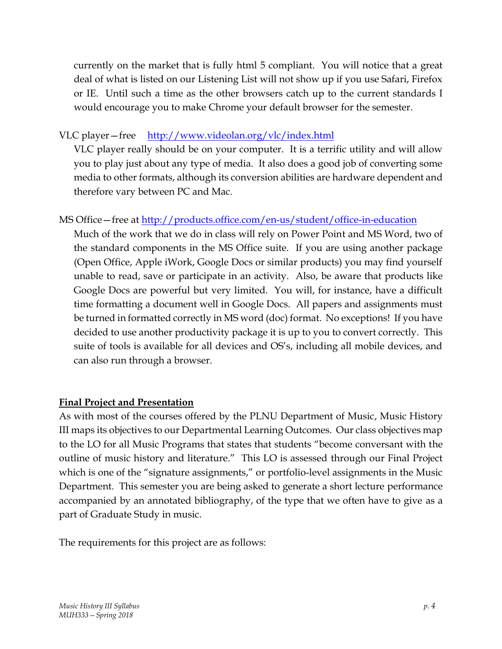currently on the market that is fully html 5 compliant. You will notice that a great deal of what is listed on our Listening List will not show up if you use Safari, Firefox or IE. Until such a time as the other browsers catch up to the current standards I would encourage you to make Chrome your default browser for the semester.

# VLC player—free <http://www.videolan.org/vlc/index.html>

VLC player really should be on your computer. It is a terrific utility and will allow you to play just about any type of media. It also does a good job of converting some media to other formats, although its conversion abilities are hardware dependent and therefore vary between PC and Mac.

# MS Office—free at<http://products.office.com/en-us/student/office-in-education>

Much of the work that we do in class will rely on Power Point and MS Word, two of the standard components in the MS Office suite. If you are using another package (Open Office, Apple iWork, Google Docs or similar products) you may find yourself unable to read, save or participate in an activity. Also, be aware that products like Google Docs are powerful but very limited. You will, for instance, have a difficult time formatting a document well in Google Docs. All papers and assignments must be turned in formatted correctly in MS word (doc) format. No exceptions! If you have decided to use another productivity package it is up to you to convert correctly. This suite of tools is available for all devices and OS's, including all mobile devices, and can also run through a browser.

# **Final Project and Presentation**

As with most of the courses offered by the PLNU Department of Music, Music History III maps its objectives to our Departmental Learning Outcomes. Our class objectives map to the LO for all Music Programs that states that students "become conversant with the outline of music history and literature." This LO is assessed through our Final Project which is one of the "signature assignments," or portfolio-level assignments in the Music Department. This semester you are being asked to generate a short lecture performance accompanied by an annotated bibliography, of the type that we often have to give as a part of Graduate Study in music.

The requirements for this project are as follows: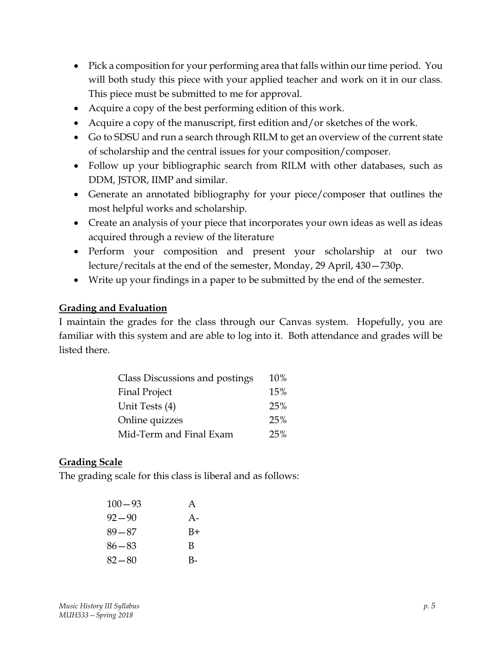- Pick a composition for your performing area that falls within our time period. You will both study this piece with your applied teacher and work on it in our class. This piece must be submitted to me for approval.
- Acquire a copy of the best performing edition of this work.
- Acquire a copy of the manuscript, first edition and/or sketches of the work.
- Go to SDSU and run a search through RILM to get an overview of the current state of scholarship and the central issues for your composition/composer.
- Follow up your bibliographic search from RILM with other databases, such as DDM, JSTOR, IIMP and similar.
- Generate an annotated bibliography for your piece/composer that outlines the most helpful works and scholarship.
- Create an analysis of your piece that incorporates your own ideas as well as ideas acquired through a review of the literature
- Perform your composition and present your scholarship at our two lecture/recitals at the end of the semester, Monday, 29 April, 430—730p.
- Write up your findings in a paper to be submitted by the end of the semester.

#### **Grading and Evaluation**

I maintain the grades for the class through our Canvas system. Hopefully, you are familiar with this system and are able to log into it. Both attendance and grades will be listed there.

| Class Discussions and postings | 10% |
|--------------------------------|-----|
| <b>Final Project</b>           | 15% |
| Unit Tests (4)                 | 25% |
| Online quizzes                 | 25% |
| Mid-Term and Final Exam        | 25% |

#### **Grading Scale**

The grading scale for this class is liberal and as follows:

| $100 - 93$ | A    |
|------------|------|
| $92 - 90$  | $A-$ |
| $89 - 87$  | B+   |
| $86 - 83$  | B    |
| $82 - 80$  | В-   |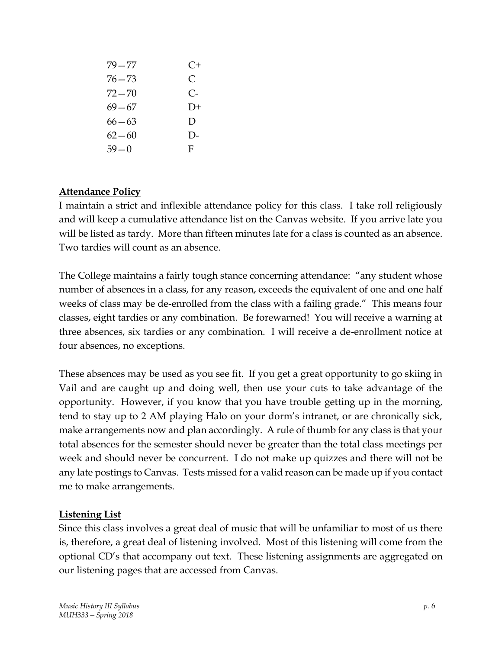| 79 — 77   | $C+$         |
|-----------|--------------|
| 76—73     | C            |
| 72—70     | $C-$         |
| $69 - 67$ | $D+$         |
| $66 - 63$ | $\mathbf{D}$ |
| $62 - 60$ | $\Gamma$     |
| $59 - 0$  | F            |

## **Attendance Policy**

I maintain a strict and inflexible attendance policy for this class. I take roll religiously and will keep a cumulative attendance list on the Canvas website. If you arrive late you will be listed as tardy. More than fifteen minutes late for a class is counted as an absence. Two tardies will count as an absence.

The College maintains a fairly tough stance concerning attendance: "any student whose number of absences in a class, for any reason, exceeds the equivalent of one and one half weeks of class may be de-enrolled from the class with a failing grade." This means four classes, eight tardies or any combination. Be forewarned! You will receive a warning at three absences, six tardies or any combination. I will receive a de-enrollment notice at four absences, no exceptions.

These absences may be used as you see fit. If you get a great opportunity to go skiing in Vail and are caught up and doing well, then use your cuts to take advantage of the opportunity. However, if you know that you have trouble getting up in the morning, tend to stay up to 2 AM playing Halo on your dorm's intranet, or are chronically sick, make arrangements now and plan accordingly. A rule of thumb for any class is that your total absences for the semester should never be greater than the total class meetings per week and should never be concurrent. I do not make up quizzes and there will not be any late postings to Canvas. Tests missed for a valid reason can be made up if you contact me to make arrangements.

# **Listening List**

Since this class involves a great deal of music that will be unfamiliar to most of us there is, therefore, a great deal of listening involved. Most of this listening will come from the optional CD's that accompany out text. These listening assignments are aggregated on our listening pages that are accessed from Canvas.